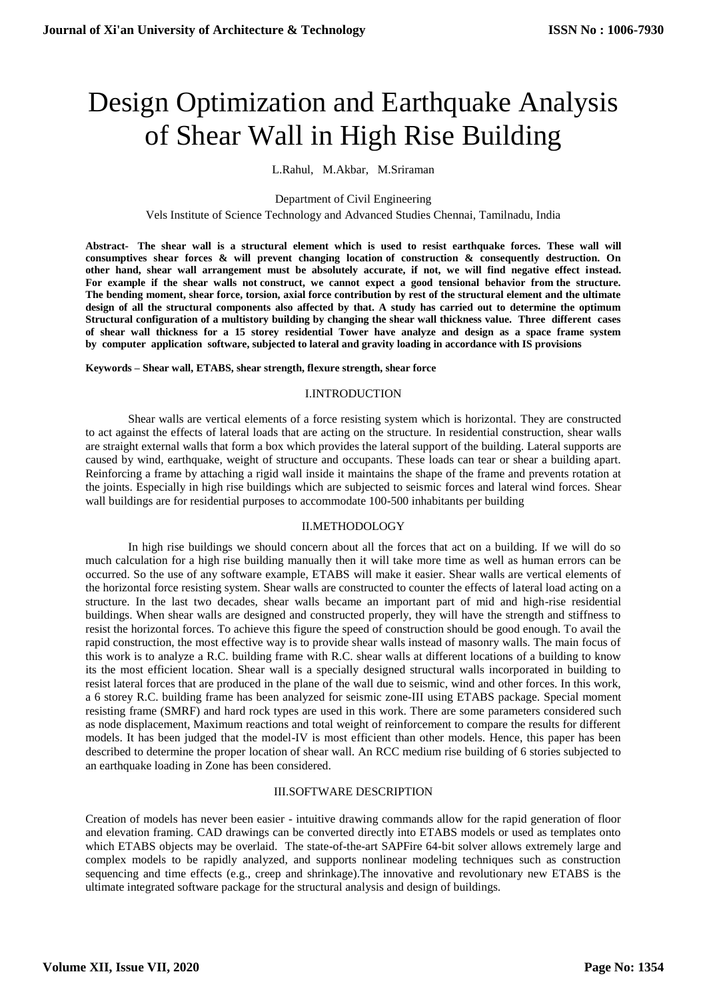# Design Optimization and Earthquake Analysis of Shear Wall in High Rise Building

L.Rahul, M.Akbar, M.Sriraman

#### Department of Civil Engineering

Vels Institute of Science Technology and Advanced Studies Chennai, Tamilnadu, India

**Abstract- The shear wall is a structural element which is used to resist earthquake forces. These wall will consumptives shear forces & will prevent changing location of construction & consequently destruction. On other hand, shear wall arrangement must be absolutely accurate, if not, we will find negative effect instead. For example if the shear walls not construct, we cannot expect a good tensional behavior from the structure. The bending moment, shear force, torsion, axial force contribution by rest of the structural element and the ultimate design of all the structural components also affected by that. A study has carried out to determine the optimum Structural configuration of a multistory building by changing the shear wall thickness value. Three different cases of shear wall thickness for a 15 storey residential Tower have analyze and design as a space frame system by computer application software, subjected to lateral and gravity loading in accordance with IS provisions**

#### **Keywords – Shear wall, ETABS, shear strength, flexure strength, shear force**

## I.INTRODUCTION

Shear walls are vertical elements of a force resisting system which is horizontal. They are constructed to act against the effects of lateral loads that are acting on the structure. In residential construction, shear walls are straight external walls that form a box which provides the lateral support of the building. Lateral supports are caused by wind, earthquake, weight of structure and occupants. These loads can tear or shear a building apart. Reinforcing a frame by attaching a rigid wall inside it maintains the shape of the frame and prevents rotation at the joints. Especially in high rise buildings which are subjected to seismic forces and lateral wind forces. Shear wall buildings are for residential purposes to accommodate 100-500 inhabitants per building

## II.METHODOLOGY

In high rise buildings we should concern about all the forces that act on a building. If we will do so much calculation for a high rise building manually then it will take more time as well as human errors can be occurred. So the use of any software example, ETABS will make it easier. Shear walls are vertical elements of the horizontal force resisting system. Shear walls are constructed to counter the effects of lateral load acting on a structure. In the last two decades, shear walls became an important part of mid and high-rise residential buildings. When shear walls are designed and constructed properly, they will have the strength and stiffness to resist the horizontal forces. To achieve this figure the speed of construction should be good enough. To avail the rapid construction, the most effective way is to provide shear walls instead of masonry walls. The main focus of this work is to analyze a R.C. building frame with R.C. shear walls at different locations of a building to know its the most efficient location. Shear wall is a specially designed structural walls incorporated in building to resist lateral forces that are produced in the plane of the wall due to seismic, wind and other forces. In this work, a 6 storey R.C. building frame has been analyzed for seismic zone-III using ETABS package. Special moment resisting frame (SMRF) and hard rock types are used in this work. There are some parameters considered such as node displacement, Maximum reactions and total weight of reinforcement to compare the results for different models. It has been judged that the model-IV is most efficient than other models. Hence, this paper has been described to determine the proper location of shear wall. An RCC medium rise building of 6 stories subjected to an earthquake loading in Zone has been considered.

## III.SOFTWARE DESCRIPTION

Creation of models has never been easier - intuitive drawing commands allow for the rapid generation of floor and elevation framing. CAD drawings can be converted directly into ETABS models or used as templates onto which ETABS objects may be overlaid. The state-of-the-art SAPFire 64-bit solver allows extremely large and complex models to be rapidly analyzed, and supports nonlinear modeling techniques such as construction sequencing and time effects (e.g., creep and shrinkage).The innovative and revolutionary new ETABS is the ultimate integrated software package for the structural analysis and design of buildings.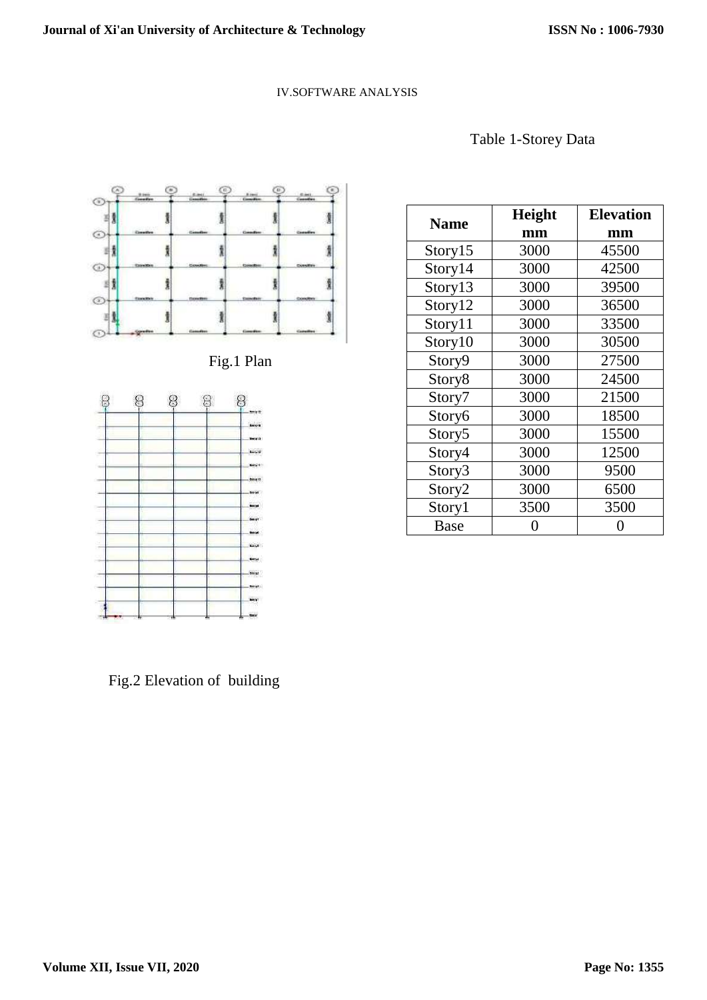## IV.SOFTWARE ANALYSIS





Fig.1 Plan



| <b>Name</b>        | Height | <b>Elevation</b> |
|--------------------|--------|------------------|
|                    | mm     | mm               |
| Story15            | 3000   | 45500            |
| Story14            | 3000   | 42500            |
| Story13            | 3000   | 39500            |
| Story12            | 3000   | 36500            |
| Story11            | 3000   | 33500            |
| Story10            | 3000   | 30500            |
| Story9             | 3000   | 27500            |
| Story8             | 3000   | 24500            |
| Story7             | 3000   | 21500            |
| Story6             | 3000   | 18500            |
| Story <sub>5</sub> | 3000   | 15500            |
| Story4             | 3000   | 12500            |
| Story3             | 3000   | 9500             |
| Story2             | 3000   | 6500             |
| Story1             | 3500   | 3500             |
| <b>Base</b>        |        |                  |

Fig.2 Elevation of building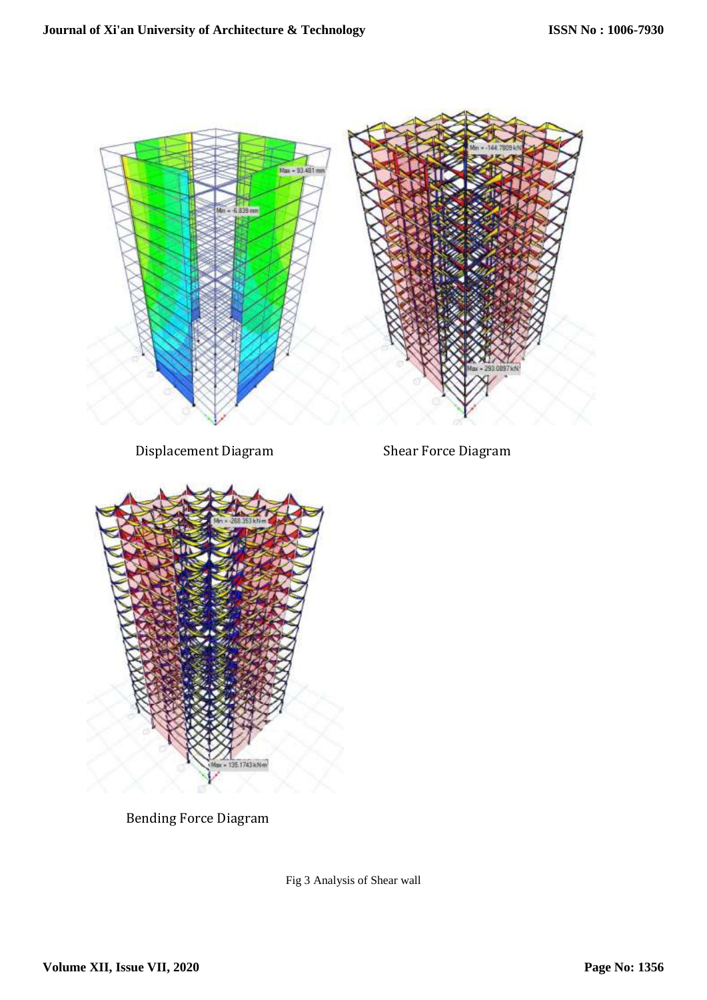

Bending Force Diagram

Fig 3 Analysis of Shear wall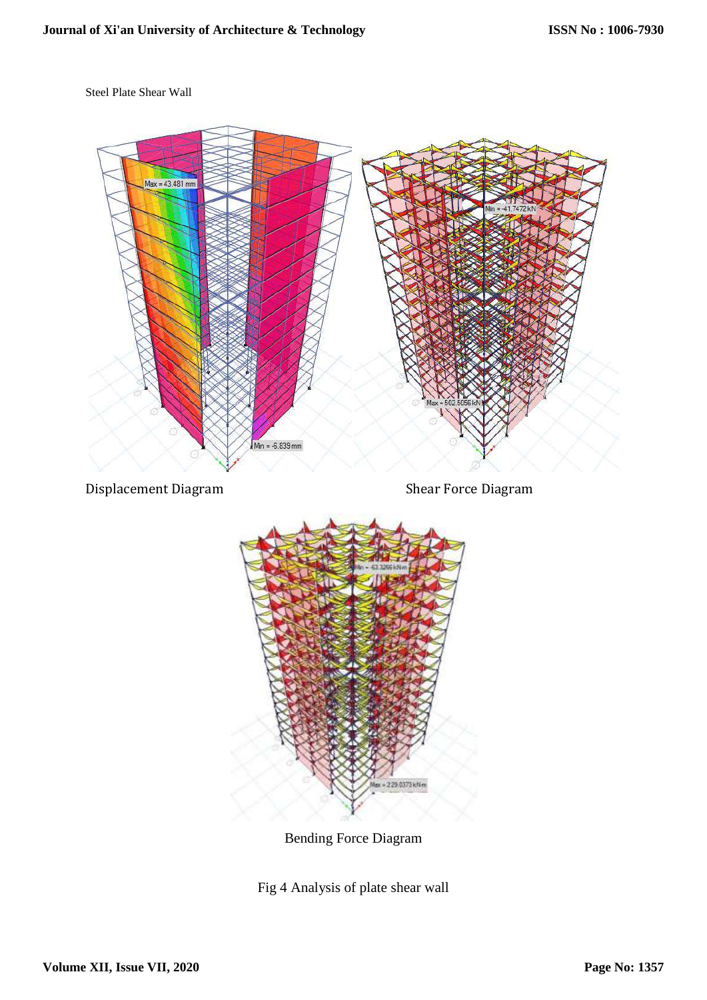Steel Plate Shear Wall



Bending Force Diagram

Fig 4 Analysis of plate shear wall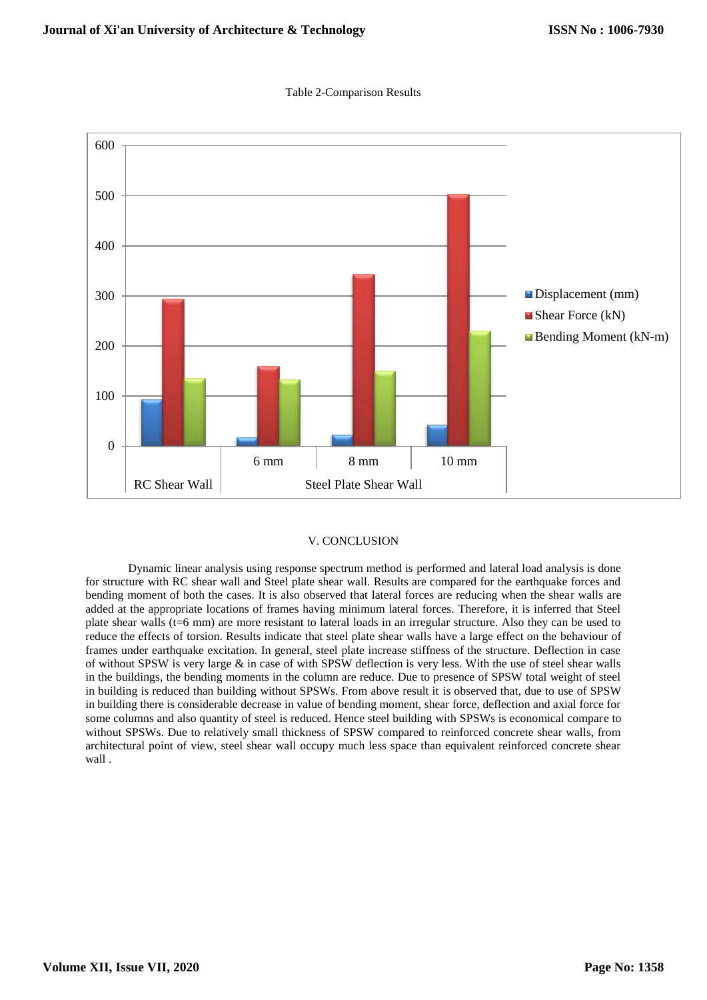

### Table 2-Comparison Results

## V. CONCLUSION

Dynamic linear analysis using response spectrum method is performed and lateral load analysis is done for structure with RC shear wall and Steel plate shear wall. Results are compared for the earthquake forces and bending moment of both the cases. It is also observed that lateral forces are reducing when the shear walls are added at the appropriate locations of frames having minimum lateral forces. Therefore, it is inferred that Steel plate shear walls (t=6 mm) are more resistant to lateral loads in an irregular structure. Also they can be used to reduce the effects of torsion. Results indicate that steel plate shear walls have a large effect on the behaviour of frames under earthquake excitation. In general, steel plate increase stiffness of the structure. Deflection in case of without SPSW is very large & in case of with SPSW deflection is very less. With the use of steel shear walls in the buildings, the bending moments in the column are reduce. Due to presence of SPSW total weight of steel in building is reduced than building without SPSWs. From above result it is observed that, due to use of SPSW in building there is considerable decrease in value of bending moment, shear force, deflection and axial force for some columns and also quantity of steel is reduced. Hence steel building with SPSWs is economical compare to without SPSWs. Due to relatively small thickness of SPSW compared to reinforced concrete shear walls, from architectural point of view, steel shear wall occupy much less space than equivalent reinforced concrete shear wall .